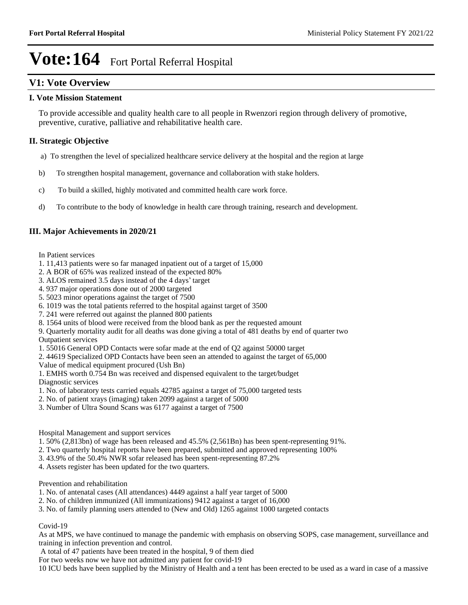## **V1: Vote Overview**

### **I. Vote Mission Statement**

To provide accessible and quality health care to all people in Rwenzori region through delivery of promotive, preventive, curative, palliative and rehabilitative health care.

## **II. Strategic Objective**

- a) To strengthen the level of specialized healthcare service delivery at the hospital and the region at large
- b) To strengthen hospital management, governance and collaboration with stake holders.
- c) To build a skilled, highly motivated and committed health care work force.
- d) To contribute to the body of knowledge in health care through training, research and development.

## **III. Major Achievements in 2020/21**

- In Patient services
- 1. 11,413 patients were so far managed inpatient out of a target of 15,000
- 2. A BOR of 65% was realized instead of the expected 80%
- 3. ALOS remained  $3.5$  days instead of the 4 days' target
- 4. 937 major operations done out of 2000 targeted
- 5. 5023 minor operations against the target of 7500
- 6. 1019 was the total patients referred to the hospital against target of 3500
- 7. 241 were referred out against the planned 800 patients
- 8. 1564 units of blood were received from the blood bank as per the requested amount
- 9. Quarterly mortality audit for all deaths was done giving a total of 481 deaths by end of quarter two Outpatient services
- 1. 55016 General OPD Contacts were sofar made at the end of Q2 against 50000 target
- 2. 44619 Specialized OPD Contacts have been seen an attended to against the target of 65,000

Value of medical equipment procured (Ush Bn)

- 1. EMHS worth 0.754 Bn was received and dispensed equivalent to the target/budget Diagnostic services
- 1. No. of laboratory tests carried equals 42785 against a target of 75,000 targeted tests
- 2. No. of patient xrays (imaging) taken 2099 against a target of 5000
- 3. Number of Ultra Sound Scans was 6177 against a target of 7500

### Hospital Management and support services

- 1. 50% (2,813bn) of wage has been released and 45.5% (2,561Bn) has been spent-representing 91%.
- 2. Two quarterly hospital reports have been prepared, submitted and approved representing 100%
- 3. 43.9% of the 50.4% NWR sofar released has been spent-representing 87.2%
- 4. Assets register has been updated for the two quarters.

### Prevention and rehabilitation

- 1. No. of antenatal cases (All attendances) 4449 against a half year target of 5000
- 2. No. of children immunized (All immunizations) 9412 against a target of 16,000
- 3. No. of family planning users attended to (New and Old) 1265 against 1000 targeted contacts

## Covid-19

As at MPS, we have continued to manage the pandemic with emphasis on observing SOPS, case management, surveillance and training in infection prevention and control.

A total of 47 patients have been treated in the hospital, 9 of them died

For two weeks now we have not admitted any patient for covid-19

10 ICU beds have been supplied by the Ministry of Health and a tent has been erected to be used as a ward in case of a massive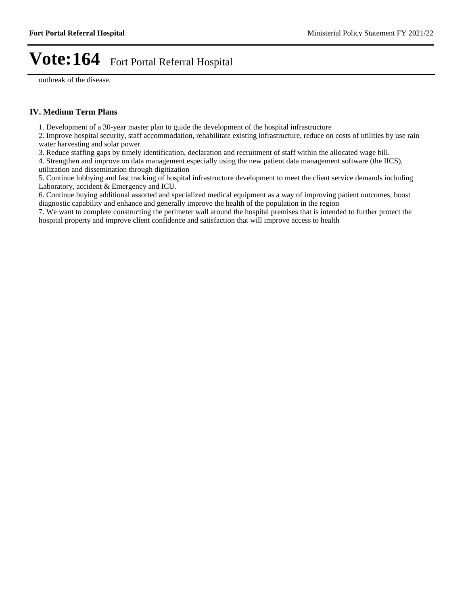outbreak of the disease.

### **IV. Medium Term Plans**

1. Development of a 30-year master plan to guide the development of the hospital infrastructure

2. Improve hospital security, staff accommodation, rehabilitate existing infrastructure, reduce on costs of utilities by use rain water harvesting and solar power.

3. Reduce staffing gaps by timely identification, declaration and recruitment of staff within the allocated wage bill.

4. Strengthen and improve on data management especially using the new patient data management software (the IICS), utilization and dissemination through digitization

5. Continue lobbying and fast tracking of hospital infrastructure development to meet the client service demands including Laboratory, accident & Emergency and ICU.

6. Continue buying additional assorted and specialized medical equipment as a way of improving patient outcomes, boost diagnostic capability and enhance and generally improve the health of the population in the region

7. We want to complete constructing the perimeter wall around the hospital premises that is intended to further protect the hospital property and improve client confidence and satisfaction that will improve access to health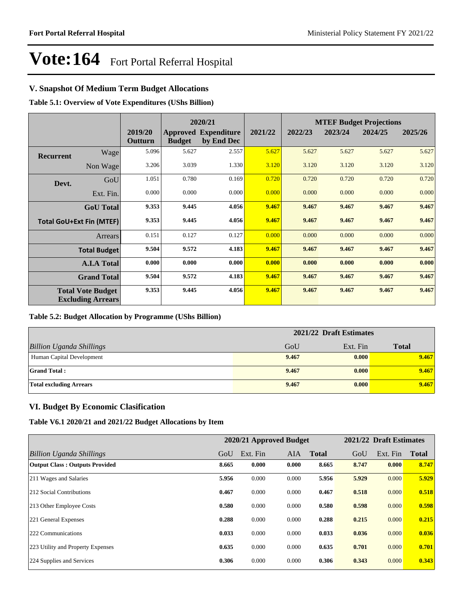## **V. Snapshot Of Medium Term Budget Allocations**

**Table 5.1: Overview of Vote Expenditures (UShs Billion)**

|                  |                                                      |                    |               | 2020/21                                   |         | <b>MTEF Budget Projections</b> |         |         |         |
|------------------|------------------------------------------------------|--------------------|---------------|-------------------------------------------|---------|--------------------------------|---------|---------|---------|
|                  |                                                      | 2019/20<br>Outturn | <b>Budget</b> | <b>Approved Expenditure</b><br>by End Dec | 2021/22 | 2022/23                        | 2023/24 | 2024/25 | 2025/26 |
| <b>Recurrent</b> | Wage                                                 | 5.096              | 5.627         | 2.557                                     | 5.627   | 5.627                          | 5.627   | 5.627   | 5.627   |
|                  | Non Wage                                             | 3.206              | 3.039         | 1.330                                     | 3.120   | 3.120                          | 3.120   | 3.120   | 3.120   |
| Devt.            | GoU                                                  | 1.051              | 0.780         | 0.169                                     | 0.720   | 0.720                          | 0.720   | 0.720   | 0.720   |
|                  | Ext. Fin.                                            | 0.000              | 0.000         | 0.000                                     | 0.000   | 0.000                          | 0.000   | 0.000   | 0.000   |
|                  | <b>GoU</b> Total                                     | 9.353              | 9.445         | 4.056                                     | 9.467   | 9.467                          | 9.467   | 9.467   | 9.467   |
|                  | <b>Total GoU+Ext Fin (MTEF)</b>                      | 9.353              | 9.445         | 4.056                                     | 9.467   | 9.467                          | 9.467   | 9.467   | 9.467   |
|                  | Arrears                                              | 0.151              | 0.127         | 0.127                                     | 0.000   | 0.000                          | 0.000   | 0.000   | 0.000   |
|                  | <b>Total Budget</b>                                  | 9.504              | 9.572         | 4.183                                     | 9.467   | 9.467                          | 9.467   | 9.467   | 9.467   |
|                  | <b>A.I.A Total</b>                                   | 0.000              | 0.000         | 0.000                                     | 0.000   | 0.000                          | 0.000   | 0.000   | 0.000   |
|                  | <b>Grand Total</b>                                   | 9.504              | 9.572         | 4.183                                     | 9.467   | 9.467                          | 9.467   | 9.467   | 9.467   |
|                  | <b>Total Vote Budget</b><br><b>Excluding Arrears</b> | 9.353              | 9.445         | 4.056                                     | 9.467   | 9.467                          | 9.467   | 9.467   | 9.467   |

### **Table 5.2: Budget Allocation by Programme (UShs Billion)**

|                                 | 2021/22 Draft Estimates |          |              |  |  |
|---------------------------------|-------------------------|----------|--------------|--|--|
| <b>Billion Uganda Shillings</b> | GoU                     | Ext. Fin | <b>Total</b> |  |  |
| Human Capital Development       | 9.467                   | 0.000    | 9.467        |  |  |
| <b>Grand Total:</b>             | 9.467                   | 0.000    | 9.467        |  |  |
| <b>Total excluding Arrears</b>  | 9.467                   | 0.000    | 9.467        |  |  |

### **VI. Budget By Economic Clasification**

**Table V6.1 2020/21 and 2021/22 Budget Allocations by Item**

|                                       |       | 2020/21 Approved Budget |            |              |       | 2021/22 Draft Estimates |              |
|---------------------------------------|-------|-------------------------|------------|--------------|-------|-------------------------|--------------|
| Billion Uganda Shillings              | GoU   | Ext. Fin                | <b>AIA</b> | <b>Total</b> | GoU   | Ext. Fin                | <b>Total</b> |
| <b>Output Class: Outputs Provided</b> | 8.665 | 0.000                   | 0.000      | 8.665        | 8.747 | 0.000                   | 8.747        |
| 211 Wages and Salaries                | 5.956 | 0.000                   | 0.000      | 5.956        | 5.929 | 0.000                   | 5.929        |
| 212 Social Contributions              | 0.467 | 0.000                   | 0.000      | 0.467        | 0.518 | 0.000                   | 0.518        |
| 213 Other Employee Costs              | 0.580 | 0.000                   | 0.000      | 0.580        | 0.598 | 0.000                   | 0.598        |
| 221 General Expenses                  | 0.288 | 0.000                   | 0.000      | 0.288        | 0.215 | 0.000                   | 0.215        |
| 222 Communications                    | 0.033 | 0.000                   | 0.000      | 0.033        | 0.036 | 0.000                   | 0.036        |
| 223 Utility and Property Expenses     | 0.635 | 0.000                   | 0.000      | 0.635        | 0.701 | 0.000                   | 0.701        |
| 224 Supplies and Services             | 0.306 | 0.000                   | 0.000      | 0.306        | 0.343 | 0.000                   | 0.343        |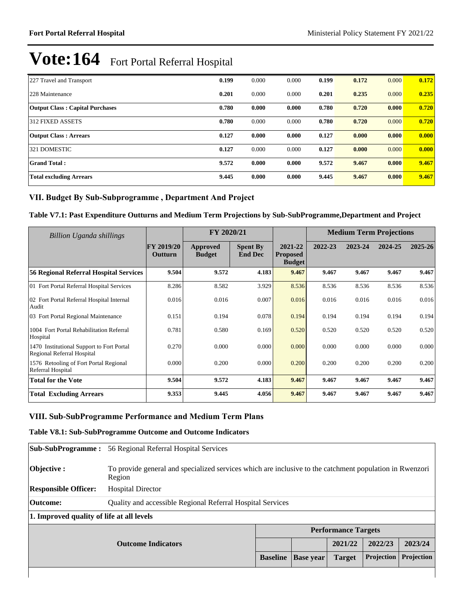| 227 Travel and Transport               | 0.199 | 0.000 | 0.000 | 0.199 | 0.172 | 0.000 | 0.172 |
|----------------------------------------|-------|-------|-------|-------|-------|-------|-------|
| 228 Maintenance                        | 0.201 | 0.000 | 0.000 | 0.201 | 0.235 | 0.000 | 0.235 |
| <b>Output Class: Capital Purchases</b> | 0.780 | 0.000 | 0.000 | 0.780 | 0.720 | 0.000 | 0.720 |
| 312 FIXED ASSETS                       | 0.780 | 0.000 | 0.000 | 0.780 | 0.720 | 0.000 | 0.720 |
| <b>Output Class: Arrears</b>           | 0.127 | 0.000 | 0.000 | 0.127 | 0.000 | 0.000 | 0.000 |
| 321 DOMESTIC                           | 0.127 | 0.000 | 0.000 | 0.127 | 0.000 | 0.000 | 0.000 |
| <b>Grand Total:</b>                    | 9.572 | 0.000 | 0.000 | 9.572 | 9.467 | 0.000 | 9.467 |
| <b>Total excluding Arrears</b>         | 9.445 | 0.000 | 0.000 | 9.445 | 9.467 | 0.000 | 9.467 |

## VII. Budget By Sub-Subprogramme, Department And Project

## **Table V7.1: Past Expenditure Outturns and Medium Term Projections by Sub-SubProgramme,Department and Project**

| Billion Uganda shillings                                                |                                     | FY 2020/21                |                                   |                                             |         | <b>Medium Term Projections</b> |         |         |
|-------------------------------------------------------------------------|-------------------------------------|---------------------------|-----------------------------------|---------------------------------------------|---------|--------------------------------|---------|---------|
|                                                                         | <b>FY 2019/20</b><br><b>Outturn</b> | Approved<br><b>Budget</b> | <b>Spent By</b><br><b>End Dec</b> | 2021-22<br><b>Proposed</b><br><b>Budget</b> | 2022-23 | 2023-24                        | 2024-25 | 2025-26 |
| <b>56 Regional Referral Hospital Services</b>                           | 9.504                               | 9.572                     | 4.183                             | 9.467                                       | 9.467   | 9.467                          | 9.467   | 9.467   |
| 01 Fort Portal Referral Hospital Services                               | 8.286                               | 8.582                     | 3.929                             | 8.536                                       | 8.536   | 8.536                          | 8.536   | 8.536   |
| 02 Fort Portal Referral Hospital Internal<br>Audit                      | 0.016                               | 0.016                     | 0.007                             | 0.016                                       | 0.016   | 0.016                          | 0.016   | 0.016   |
| 03 Fort Portal Regional Maintenance                                     | 0.151                               | 0.194                     | 0.078                             | 0.194                                       | 0.194   | 0.194                          | 0.194   | 0.194   |
| 1004 Fort Portal Rehabilitation Referral<br>Hospital                    | 0.781                               | 0.580                     | 0.169                             | 0.520                                       | 0.520   | 0.520                          | 0.520   | 0.520   |
| 1470 Institutional Support to Fort Portal<br>Regional Referral Hospital | 0.270                               | 0.000                     | 0.000                             | 0.000                                       | 0.000   | 0.000                          | 0.000   | 0.000   |
| 1576 Retooling of Fort Portal Regional<br>Referral Hospital             | 0.000                               | 0.200                     | 0.000                             | 0.200                                       | 0.200   | 0.200                          | 0.200   | 0.200   |
| <b>Total for the Vote</b>                                               | 9.504                               | 9.572                     | 4.183                             | 9.467                                       | 9.467   | 9.467                          | 9.467   | 9.467   |
| <b>Total Excluding Arrears</b>                                          | 9.353                               | 9.445                     | 4.056                             | 9.467                                       | 9.467   | 9.467                          | 9.467   | 9.467   |

## **VIII. Sub-SubProgramme Performance and Medium Term Plans**

### **Table V8.1: Sub-SubProgramme Outcome and Outcome Indicators**

| <b>Sub-SubProgramme :</b>                 | 56 Regional Referral Hospital Services                                                                            |  |                  |                            |                   |            |  |
|-------------------------------------------|-------------------------------------------------------------------------------------------------------------------|--|------------------|----------------------------|-------------------|------------|--|
| Objective :                               | To provide general and specialized services which are inclusive to the catchment population in Rwenzori<br>Region |  |                  |                            |                   |            |  |
| <b>Responsible Officer:</b>               | <b>Hospital Director</b>                                                                                          |  |                  |                            |                   |            |  |
| <b>Outcome:</b>                           | Quality and accessible Regional Referral Hospital Services                                                        |  |                  |                            |                   |            |  |
| 1. Improved quality of life at all levels |                                                                                                                   |  |                  |                            |                   |            |  |
|                                           |                                                                                                                   |  |                  | <b>Performance Targets</b> |                   |            |  |
|                                           | <b>Outcome Indicators</b>                                                                                         |  |                  | 2021/22                    | 2022/23           | 2023/24    |  |
|                                           |                                                                                                                   |  | <b>Base year</b> | <b>Target</b>              | <b>Projection</b> | Projection |  |
|                                           |                                                                                                                   |  |                  |                            |                   |            |  |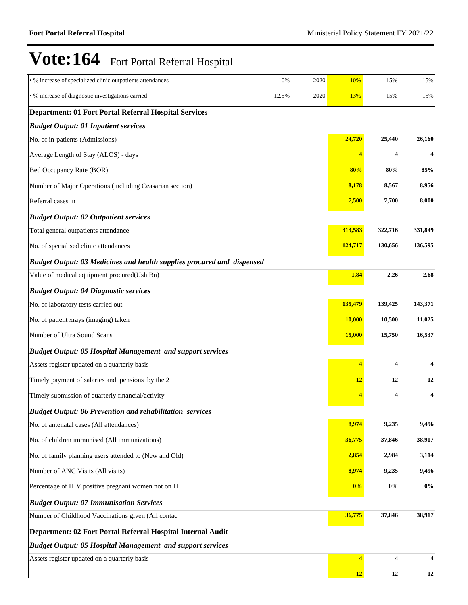| • % increase of specialized clinic outpatients attendances             | 10%   | 2020 | 10%                     | 15%     | 15%     |
|------------------------------------------------------------------------|-------|------|-------------------------|---------|---------|
| · % increase of diagnostic investigations carried                      | 12.5% | 2020 | <b>13%</b>              | 15%     | 15%     |
| <b>Department: 01 Fort Portal Referral Hospital Services</b>           |       |      |                         |         |         |
| <b>Budget Output: 01 Inpatient services</b>                            |       |      |                         |         |         |
| No. of in-patients (Admissions)                                        |       |      | 24,720                  | 25,440  | 26,160  |
| Average Length of Stay (ALOS) - days                                   |       |      | 4                       | 4       | 4       |
| Bed Occupancy Rate (BOR)                                               |       |      | 80%                     | 80%     | 85%     |
| Number of Major Operations (including Ceasarian section)               |       |      | 8,178                   | 8,567   | 8,956   |
| Referral cases in                                                      |       |      | 7,500                   | 7,700   | 8,000   |
| <b>Budget Output: 02 Outpatient services</b>                           |       |      |                         |         |         |
| Total general outpatients attendance                                   |       |      | 313,583                 | 322,716 | 331,849 |
| No. of specialised clinic attendances                                  |       |      | 124,717                 | 130,656 | 136,595 |
| Budget Output: 03 Medicines and health supplies procured and dispensed |       |      |                         |         |         |
| Value of medical equipment procured(Ush Bn)                            |       |      | 1.84                    | 2.26    | 2.68    |
| <b>Budget Output: 04 Diagnostic services</b>                           |       |      |                         |         |         |
| No. of laboratory tests carried out                                    |       |      | 135,479                 | 139,425 | 143,371 |
| No. of patient xrays (imaging) taken                                   |       |      | <b>10,000</b>           | 10,500  | 11,025  |
| Number of Ultra Sound Scans                                            |       |      | <b>15,000</b>           | 15,750  | 16,537  |
| <b>Budget Output: 05 Hospital Management and support services</b>      |       |      |                         |         |         |
| Assets register updated on a quarterly basis                           |       |      | 4                       | 4       | 4       |
| Timely payment of salaries and pensions by the 2                       |       |      | 12                      | 12      | 12      |
| Timely submission of quarterly financial/activity                      |       |      |                         | 4       | 4       |
| <b>Budget Output: 06 Prevention and rehabilitation services</b>        |       |      |                         |         |         |
| No. of antenatal cases (All attendances)                               |       |      | 8,974                   | 9,235   | 9,496   |
| No. of children immunised (All immunizations)                          |       |      | 36,775                  | 37,846  | 38,917  |
| No. of family planning users attended to (New and Old)                 |       |      | 2,854                   | 2,984   | 3,114   |
| Number of ANC Visits (All visits)                                      |       |      | 8,974                   | 9,235   | 9,496   |
| Percentage of HIV positive pregnant women not on H                     |       |      | 0%                      | $0\%$   | $0\%$   |
| <b>Budget Output: 07 Immunisation Services</b>                         |       |      |                         |         |         |
| Number of Childhood Vaccinations given (All contac                     |       |      | 36,775                  | 37,846  | 38,917  |
| Department: 02 Fort Portal Referral Hospital Internal Audit            |       |      |                         |         |         |
| <b>Budget Output: 05 Hospital Management and support services</b>      |       |      |                         |         |         |
| Assets register updated on a quarterly basis                           |       |      | $\overline{\mathbf{4}}$ | 4       | 4       |
|                                                                        |       |      | 12                      | 12      | 12      |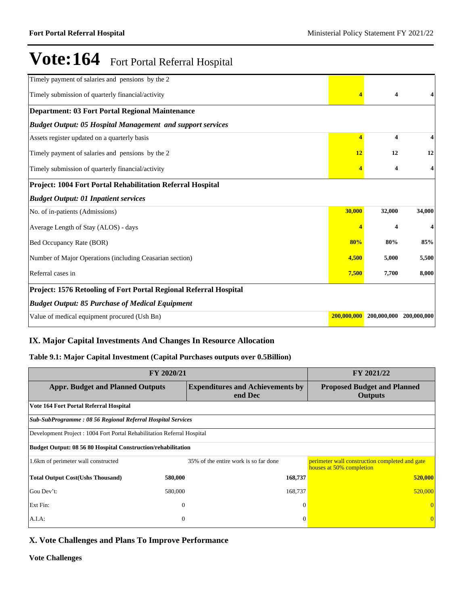| Timely payment of salaries and pensions by the 2                  |             |                         |             |
|-------------------------------------------------------------------|-------------|-------------------------|-------------|
| Timely submission of quarterly financial/activity                 |             | $\overline{\mathbf{4}}$ |             |
| <b>Department: 03 Fort Portal Regional Maintenance</b>            |             |                         |             |
| <b>Budget Output: 05 Hospital Management and support services</b> |             |                         |             |
| Assets register updated on a quarterly basis                      | 4           | $\overline{\mathbf{4}}$ |             |
| Timely payment of salaries and pensions by the 2                  | 12          | 12                      | 12          |
| Timely submission of quarterly financial/activity                 |             | 4                       | 4           |
| Project: 1004 Fort Portal Rehabilitation Referral Hospital        |             |                         |             |
| <b>Budget Output: 01 Inpatient services</b>                       |             |                         |             |
| No. of in-patients (Admissions)                                   | 30,000      | 32,000                  | 34,000      |
| Average Length of Stay (ALOS) - days                              |             | $\overline{\mathbf{4}}$ |             |
| Bed Occupancy Rate (BOR)                                          | 80%         | 80%                     | 85%         |
| Number of Major Operations (including Ceasarian section)          | 4,500       | 5,000                   | 5,500       |
| Referral cases in                                                 | 7,500       | 7,700                   | 8,000       |
| Project: 1576 Retooling of Fort Portal Regional Referral Hospital |             |                         |             |
| <b>Budget Output: 85 Purchase of Medical Equipment</b>            |             |                         |             |
| Value of medical equipment procured (Ush Bn)                      | 200,000,000 | 200,000,000             | 200,000,000 |

## **IX. Major Capital Investments And Changes In Resource Allocation**

## **Table 9.1: Major Capital Investment (Capital Purchases outputs over 0.5Billion)**

| FY 2020/21                                                              | FY 2021/22     |                                                    |                                                                            |  |  |  |  |
|-------------------------------------------------------------------------|----------------|----------------------------------------------------|----------------------------------------------------------------------------|--|--|--|--|
| <b>Appr. Budget and Planned Outputs</b>                                 |                | <b>Expenditures and Achievements by</b><br>end Dec | <b>Proposed Budget and Planned</b><br><b>Outputs</b>                       |  |  |  |  |
| Vote 164 Fort Portal Referral Hospital                                  |                |                                                    |                                                                            |  |  |  |  |
| <b>Sub-SubProgramme: 08 56 Regional Referral Hospital Services</b>      |                |                                                    |                                                                            |  |  |  |  |
| Development Project : 1004 Fort Portal Rehabilitation Referral Hospital |                |                                                    |                                                                            |  |  |  |  |
| Budget Output: 08 56 80 Hospital Construction/rehabilitation            |                |                                                    |                                                                            |  |  |  |  |
| 1.6km of perimeter wall constructed                                     |                | 35% of the entire work is so far done              | perimeter wall construction completed and gate<br>houses at 50% completion |  |  |  |  |
| <b>Total Output Cost(Ushs Thousand)</b>                                 | 580,000        | 168,737                                            | 520,000                                                                    |  |  |  |  |
| Gou Dev't:                                                              | 580,000        | 168,737                                            | 520,000                                                                    |  |  |  |  |
| Ext Fin:                                                                | $\overline{0}$ | $\Omega$                                           |                                                                            |  |  |  |  |
| A.I.A:                                                                  | $\theta$       | $\Omega$                                           | $\overline{0}$                                                             |  |  |  |  |

## **X. Vote Challenges and Plans To Improve Performance**

**Vote Challenges**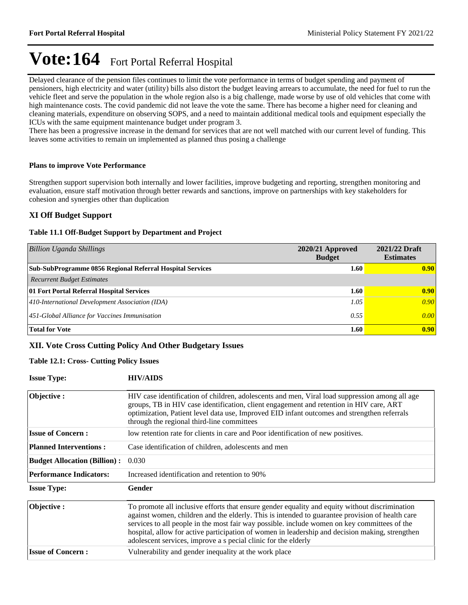Delayed clearance of the pension files continues to limit the vote performance in terms of budget spending and payment of pensioners, high electricity and water (utility) bills also distort the budget leaving arrears to accumulate, the need for fuel to run the vehicle fleet and serve the population in the whole region also is a big challenge, made worse by use of old vehicles that come with high maintenance costs. The covid pandemic did not leave the vote the same. There has become a higher need for cleaning and cleaning materials, expenditure on observing SOPS, and a need to maintain additional medical tools and equipment especially the ICUs with the same equipment maintenance budget under program 3.

There has been a progressive increase in the demand for services that are not well matched with our current level of funding. This leaves some activities to remain un implemented as planned thus posing a challenge

### **Plans to improve Vote Performance**

Strengthen support supervision both internally and lower facilities, improve budgeting and reporting, strengthen monitoring and evaluation, ensure staff motivation through better rewards and sanctions, improve on partnerships with key stakeholders for cohesion and synergies other than duplication

### **XI Off Budget Support**

#### **Table 11.1 Off-Budget Support by Department and Project**

| <b>Billion Uganda Shillings</b>                                  | $2020/21$ Approved<br><b>Budget</b> | 2021/22 Draft<br><b>Estimates</b> |
|------------------------------------------------------------------|-------------------------------------|-----------------------------------|
| <b>Sub-SubProgramme 0856 Regional Referral Hospital Services</b> | 1.60                                | 0.90                              |
| <b>Recurrent Budget Estimates</b>                                |                                     |                                   |
| 01 Fort Portal Referral Hospital Services                        | 1.60                                | 0.90                              |
| 410-International Development Association (IDA)                  | 1.05                                | 0.90                              |
| 451-Global Alliance for Vaccines Immunisation                    | 0.55                                | 0.00                              |
| <b>Total for Vote</b>                                            | 1.60                                | 0.90                              |

### **XII. Vote Cross Cutting Policy And Other Budgetary Issues**

### **Table 12.1: Cross- Cutting Policy Issues**

| <b>Issue Type:</b>                  | <b>HIV/AIDS</b>                                                                                                                                                                                                                                                                                                                                                                                                                                                        |
|-------------------------------------|------------------------------------------------------------------------------------------------------------------------------------------------------------------------------------------------------------------------------------------------------------------------------------------------------------------------------------------------------------------------------------------------------------------------------------------------------------------------|
| Objective:                          | HIV case identification of children, adolescents and men, Viral load suppression among all age<br>groups, TB in HIV case identification, client engagement and retention in HIV care, ART<br>optimization, Patient level data use, Improved EID infant outcomes and strengthen referrals<br>through the regional third-line committees                                                                                                                                 |
| <b>Issue of Concern :</b>           | low retention rate for clients in care and Poor identification of new positives.                                                                                                                                                                                                                                                                                                                                                                                       |
| <b>Planned Interventions:</b>       | Case identification of children, adolescents and men                                                                                                                                                                                                                                                                                                                                                                                                                   |
| <b>Budget Allocation (Billion):</b> | 0.030                                                                                                                                                                                                                                                                                                                                                                                                                                                                  |
| <b>Performance Indicators:</b>      | Increased identification and retention to 90%                                                                                                                                                                                                                                                                                                                                                                                                                          |
| <b>Issue Type:</b>                  | Gender                                                                                                                                                                                                                                                                                                                                                                                                                                                                 |
| Objective:                          | To promote all inclusive efforts that ensure gender equality and equity without discrimination<br>against women, children and the elderly. This is intended to guarantee provision of health care<br>services to all people in the most fair way possible. include women on key committees of the<br>hospital, allow for active participation of women in leadership and decision making, strengthen<br>adolescent services, improve a s pecial clinic for the elderly |
| <b>Issue of Concern:</b>            | Vulnerability and gender inequality at the work place                                                                                                                                                                                                                                                                                                                                                                                                                  |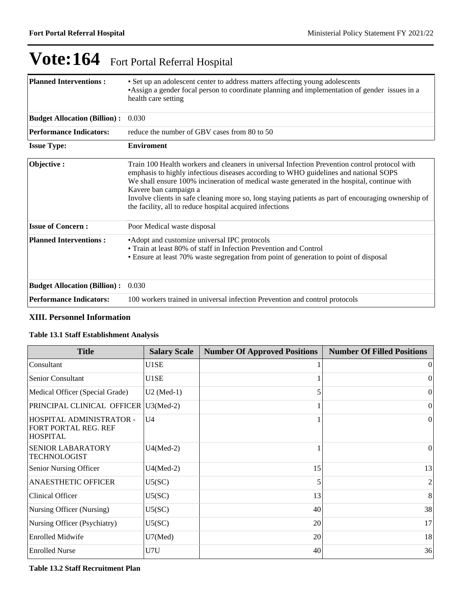| <b>Planned Interventions:</b>       | • Set up an adolescent center to address matters affecting young adolescents<br>•Assign a gender focal person to coordinate planning and implementation of gender issues in a<br>health care setting                                                                                                                                                                                                                                                                             |
|-------------------------------------|----------------------------------------------------------------------------------------------------------------------------------------------------------------------------------------------------------------------------------------------------------------------------------------------------------------------------------------------------------------------------------------------------------------------------------------------------------------------------------|
| <b>Budget Allocation (Billion):</b> | 0.030                                                                                                                                                                                                                                                                                                                                                                                                                                                                            |
| <b>Performance Indicators:</b>      | reduce the number of GBV cases from 80 to 50                                                                                                                                                                                                                                                                                                                                                                                                                                     |
| <b>Issue Type:</b>                  | <b>Enviroment</b>                                                                                                                                                                                                                                                                                                                                                                                                                                                                |
| Objective:                          | Train 100 Health workers and cleaners in universal Infection Prevention control protocol with<br>emphasis to highly infectious diseases according to WHO guidelines and national SOPS<br>We shall ensure 100% incineration of medical waste generated in the hospital, continue with<br>Kavere ban campaign a<br>Involve clients in safe cleaning more so, long staying patients as part of encouraging ownership of<br>the facility, all to reduce hospital acquired infections |
| <b>Issue of Concern:</b>            | Poor Medical waste disposal                                                                                                                                                                                                                                                                                                                                                                                                                                                      |
| <b>Planned Interventions:</b>       | • Adopt and customize universal IPC protocols<br>• Train at least 80% of staff in Infection Prevention and Control<br>• Ensure at least 70% waste segregation from point of generation to point of disposal                                                                                                                                                                                                                                                                      |
| <b>Budget Allocation (Billion):</b> | 0.030                                                                                                                                                                                                                                                                                                                                                                                                                                                                            |
| <b>Performance Indicators:</b>      | 100 workers trained in universal infection Prevention and control protocols                                                                                                                                                                                                                                                                                                                                                                                                      |

## **XIII. Personnel Information**

### **Table 13.1 Staff Establishment Analysis**

| <b>Title</b>                                                        | <b>Salary Scale</b> | <b>Number Of Approved Positions</b> | <b>Number Of Filled Positions</b> |
|---------------------------------------------------------------------|---------------------|-------------------------------------|-----------------------------------|
| Consultant                                                          | U1SE                |                                     | $\theta$                          |
| <b>Senior Consultant</b>                                            | U1SE                |                                     | $\theta$                          |
| Medical Officer (Special Grade)                                     | $U2$ (Med-1)        | 5                                   | $\theta$                          |
| PRINCIPAL CLINICAL OFFICER                                          | $U3(Med-2)$         |                                     | $\Omega$                          |
| HOSPITAL ADMINISTRATOR -<br>FORT PORTAL REG. REF<br><b>HOSPITAL</b> | U <sub>4</sub>      |                                     | $\theta$                          |
| <b>SENIOR LABARATORY</b><br><b>TECHNOLOGIST</b>                     | $U4(Med-2)$         |                                     | $\theta$                          |
| Senior Nursing Officer                                              | $U4(Med-2)$         | 15                                  | 13                                |
| <b>ANAESTHETIC OFFICER</b>                                          | U5(SC)              | 5                                   | 2                                 |
| Clinical Officer                                                    | U5(SC)              | 13                                  | 8                                 |
| Nursing Officer (Nursing)                                           | U5(SC)              | 40                                  | 38                                |
| Nursing Officer (Psychiatry)                                        | U5(SC)              | 20                                  | 17                                |
| <b>Enrolled Midwife</b>                                             | $U7$ (Med)          | 20                                  | 18                                |
| <b>Enrolled Nurse</b>                                               | U7U                 | 40                                  | 36                                |

### **Table 13.2 Staff Recruitment Plan**